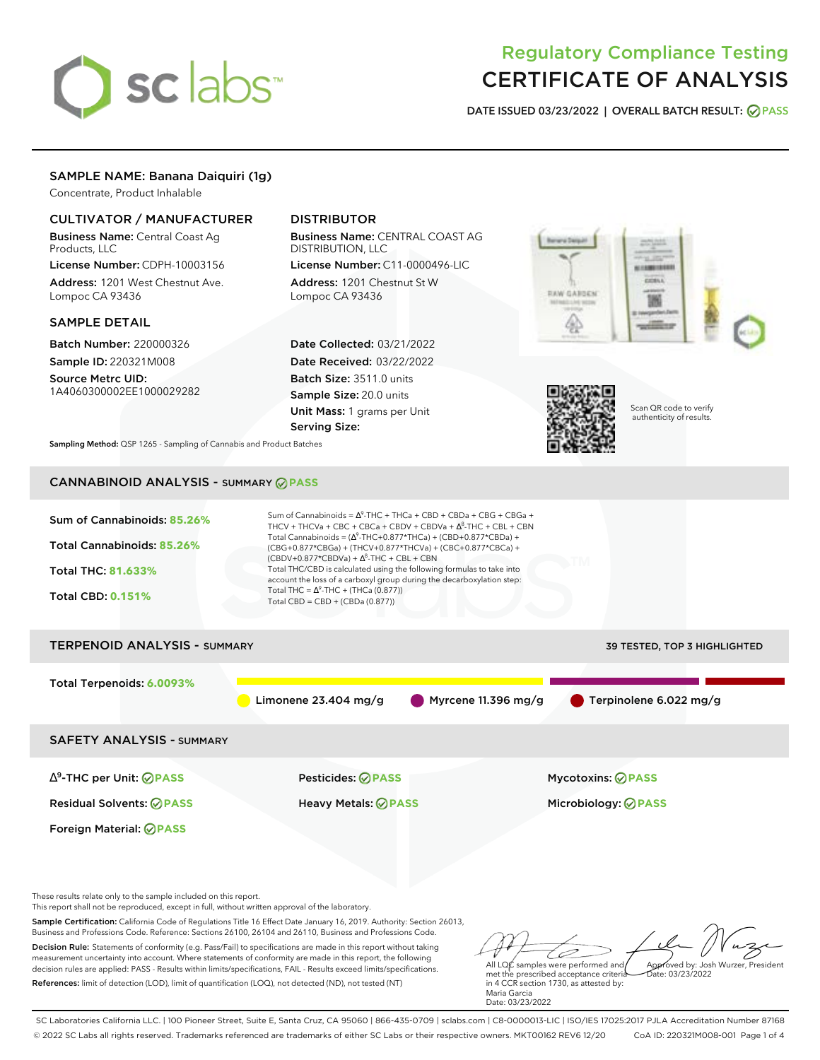# sclabs<sup>\*</sup>

# Regulatory Compliance Testing CERTIFICATE OF ANALYSIS

**DATE ISSUED 03/23/2022 | OVERALL BATCH RESULT: PASS**

# SAMPLE NAME: Banana Daiquiri (1g)

Concentrate, Product Inhalable

# CULTIVATOR / MANUFACTURER

Business Name: Central Coast Ag Products, LLC

License Number: CDPH-10003156 Address: 1201 West Chestnut Ave. Lompoc CA 93436

# SAMPLE DETAIL

Batch Number: 220000326 Sample ID: 220321M008

Source Metrc UID: 1A4060300002EE1000029282

# DISTRIBUTOR

Business Name: CENTRAL COAST AG DISTRIBUTION, LLC

License Number: C11-0000496-LIC Address: 1201 Chestnut St W Lompoc CA 93436

Date Collected: 03/21/2022 Date Received: 03/22/2022 Batch Size: 3511.0 units Sample Size: 20.0 units Unit Mass: 1 grams per Unit Serving Size:





Scan QR code to verify authenticity of results.

**Sampling Method:** QSP 1265 - Sampling of Cannabis and Product Batches

# CANNABINOID ANALYSIS - SUMMARY **PASS**



Business and Professions Code. Reference: Sections 26100, 26104 and 26110, Business and Professions Code. Decision Rule: Statements of conformity (e.g. Pass/Fail) to specifications are made in this report without taking measurement uncertainty into account. Where statements of conformity are made in this report, the following decision rules are applied: PASS - Results within limits/specifications, FAIL - Results exceed limits/specifications. References: limit of detection (LOD), limit of quantification (LOQ), not detected (ND), not tested (NT)

All LQC samples were performed and Approved by: Josh Wurzer, President Date: 03/23/2022

met the prescribed acceptance criteria in 4 CCR section 1730, as attested by: Maria Garcia Date: 03/23/2022

SC Laboratories California LLC. | 100 Pioneer Street, Suite E, Santa Cruz, CA 95060 | 866-435-0709 | sclabs.com | C8-0000013-LIC | ISO/IES 17025:2017 PJLA Accreditation Number 87168 © 2022 SC Labs all rights reserved. Trademarks referenced are trademarks of either SC Labs or their respective owners. MKT00162 REV6 12/20 CoA ID: 220321M008-001 Page 1 of 4